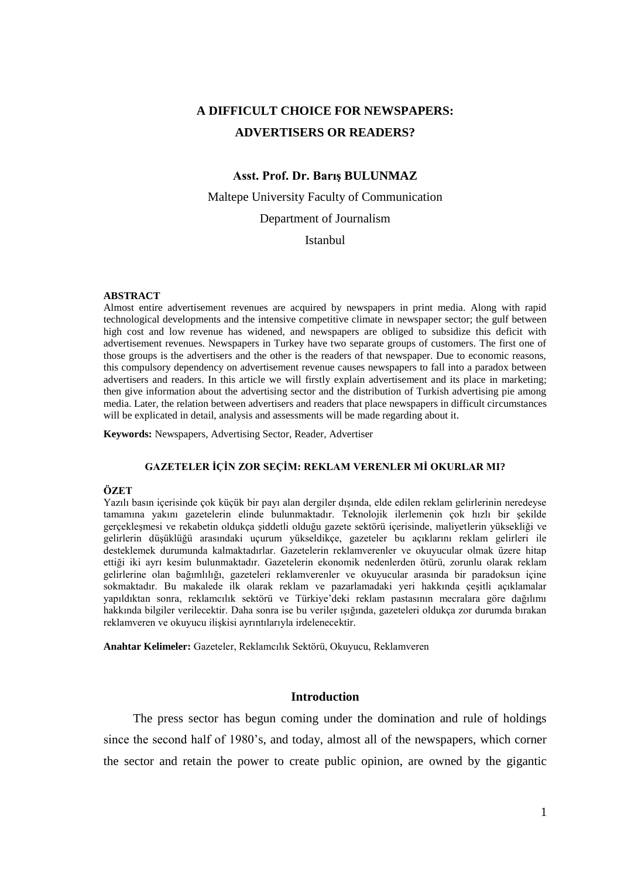# **A DIFFICULT CHOICE FOR NEWSPAPERS: ADVERTISERS OR READERS?**

# **Asst. Prof. Dr. Barış BULUNMAZ**

Maltepe University Faculty of Communication Department of Journalism

**Istanbul** 

#### **ABSTRACT**

Almost entire advertisement revenues are acquired by newspapers in print media. Along with rapid technological developments and the intensive competitive climate in newspaper sector; the gulf between high cost and low revenue has widened, and newspapers are obliged to subsidize this deficit with advertisement revenues. Newspapers in Turkey have two separate groups of customers. The first one of those groups is the advertisers and the other is the readers of that newspaper. Due to economic reasons, this compulsory dependency on advertisement revenue causes newspapers to fall into a paradox between advertisers and readers. In this article we will firstly explain advertisement and its place in marketing; then give information about the advertising sector and the distribution of Turkish advertising pie among media. Later, the relation between advertisers and readers that place newspapers in difficult circumstances will be explicated in detail, analysis and assessments will be made regarding about it.

**Keywords:** Newspapers, Advertising Sector, Reader, Advertiser

# **GAZETELER İÇİN ZOR SEÇİM: REKLAM VERENLER Mİ OKURLAR MI?**

#### **ÖZET**

Yazılı basın içerisinde çok küçük bir payı alan dergiler dışında, elde edilen reklam gelirlerinin neredeyse tamamına yakını gazetelerin elinde bulunmaktadır. Teknolojik ilerlemenin çok hızlı bir şekilde gerçekleşmesi ve rekabetin oldukça şiddetli olduğu gazete sektörü içerisinde, maliyetlerin yüksekliği ve gelirlerin düşüklüğü arasındaki uçurum yükseldikçe, gazeteler bu açıklarını reklam gelirleri ile desteklemek durumunda kalmaktadırlar. Gazetelerin reklamverenler ve okuyucular olmak üzere hitap ettiği iki ayrı kesim bulunmaktadır. Gazetelerin ekonomik nedenlerden ötürü, zorunlu olarak reklam gelirlerine olan bağımlılığı, gazeteleri reklamverenler ve okuyucular arasında bir paradoksun içine sokmaktadır. Bu makalede ilk olarak reklam ve pazarlamadaki yeri hakkında çeşitli açıklamalar yapıldıktan sonra, reklamcılık sektörü ve Türkiye'deki reklam pastasının mecralara göre dağılımı hakkında bilgiler verilecektir. Daha sonra ise bu veriler ışığında, gazeteleri oldukça zor durumda bırakan reklamveren ve okuyucu ilişkisi ayrıntılarıyla irdelenecektir.

**Anahtar Kelimeler:** Gazeteler, Reklamcılık Sektörü, Okuyucu, Reklamveren

#### **Introduction**

The press sector has begun coming under the domination and rule of holdings since the second half of 1980's, and today, almost all of the newspapers, which corner the sector and retain the power to create public opinion, are owned by the gigantic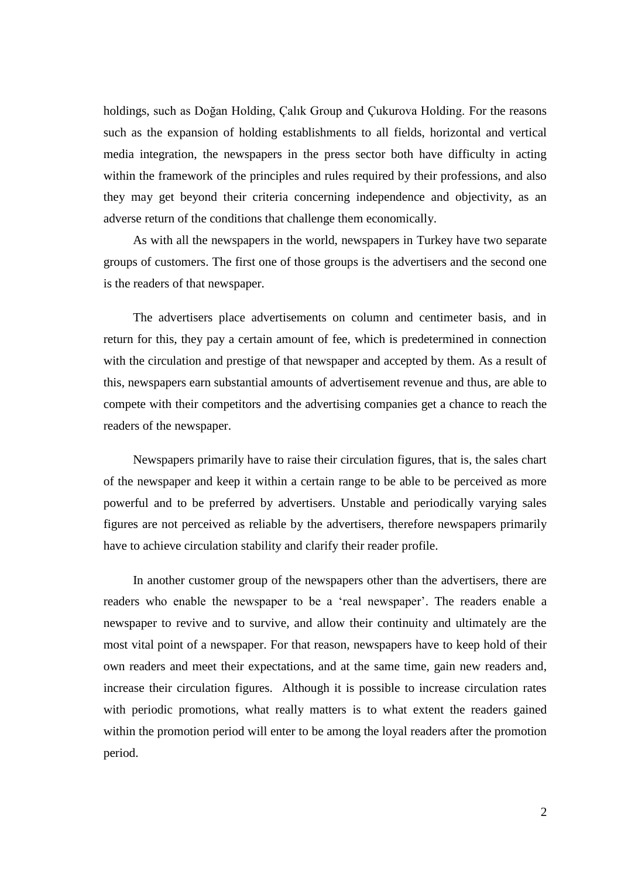holdings, such as Doğan Holding, Çalık Group and Çukurova Holding. For the reasons such as the expansion of holding establishments to all fields, horizontal and vertical media integration, the newspapers in the press sector both have difficulty in acting within the framework of the principles and rules required by their professions, and also they may get beyond their criteria concerning independence and objectivity, as an adverse return of the conditions that challenge them economically.

As with all the newspapers in the world, newspapers in Turkey have two separate groups of customers. The first one of those groups is the advertisers and the second one is the readers of that newspaper.

The advertisers place advertisements on column and centimeter basis, and in return for this, they pay a certain amount of fee, which is predetermined in connection with the circulation and prestige of that newspaper and accepted by them. As a result of this, newspapers earn substantial amounts of advertisement revenue and thus, are able to compete with their competitors and the advertising companies get a chance to reach the readers of the newspaper.

Newspapers primarily have to raise their circulation figures, that is, the sales chart of the newspaper and keep it within a certain range to be able to be perceived as more powerful and to be preferred by advertisers. Unstable and periodically varying sales figures are not perceived as reliable by the advertisers, therefore newspapers primarily have to achieve circulation stability and clarify their reader profile.

In another customer group of the newspapers other than the advertisers, there are readers who enable the newspaper to be a 'real newspaper'. The readers enable a newspaper to revive and to survive, and allow their continuity and ultimately are the most vital point of a newspaper. For that reason, newspapers have to keep hold of their own readers and meet their expectations, and at the same time, gain new readers and, increase their circulation figures. Although it is possible to increase circulation rates with periodic promotions, what really matters is to what extent the readers gained within the promotion period will enter to be among the loyal readers after the promotion period.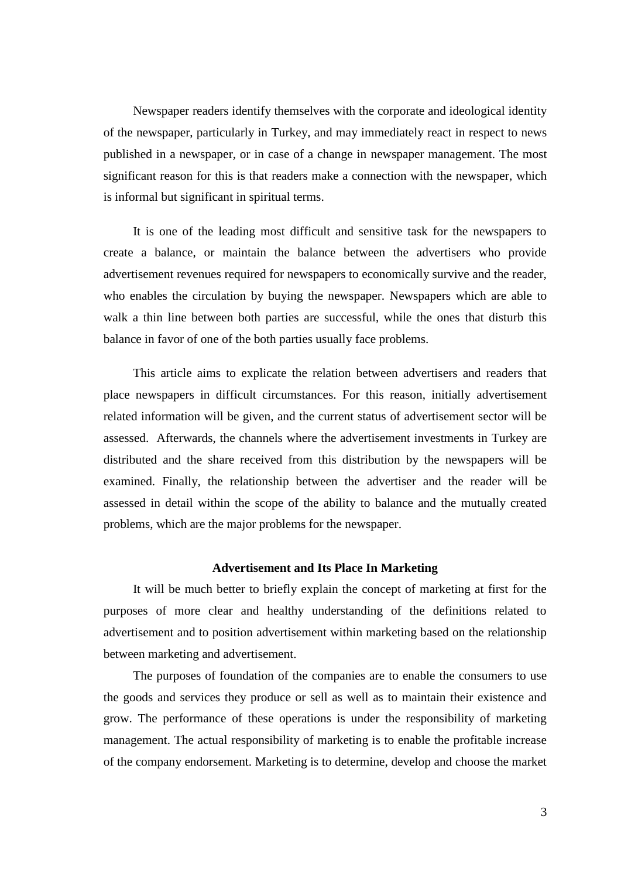Newspaper readers identify themselves with the corporate and ideological identity of the newspaper, particularly in Turkey, and may immediately react in respect to news published in a newspaper, or in case of a change in newspaper management. The most significant reason for this is that readers make a connection with the newspaper, which is informal but significant in spiritual terms.

It is one of the leading most difficult and sensitive task for the newspapers to create a balance, or maintain the balance between the advertisers who provide advertisement revenues required for newspapers to economically survive and the reader, who enables the circulation by buying the newspaper. Newspapers which are able to walk a thin line between both parties are successful, while the ones that disturb this balance in favor of one of the both parties usually face problems.

This article aims to explicate the relation between advertisers and readers that place newspapers in difficult circumstances. For this reason, initially advertisement related information will be given, and the current status of advertisement sector will be assessed. Afterwards, the channels where the advertisement investments in Turkey are distributed and the share received from this distribution by the newspapers will be examined. Finally, the relationship between the advertiser and the reader will be assessed in detail within the scope of the ability to balance and the mutually created problems, which are the major problems for the newspaper.

# **Advertisement and Its Place In Marketing**

It will be much better to briefly explain the concept of marketing at first for the purposes of more clear and healthy understanding of the definitions related to advertisement and to position advertisement within marketing based on the relationship between marketing and advertisement.

The purposes of foundation of the companies are to enable the consumers to use the goods and services they produce or sell as well as to maintain their existence and grow. The performance of these operations is under the responsibility of marketing management. The actual responsibility of marketing is to enable the profitable increase of the company endorsement. Marketing is to determine, develop and choose the market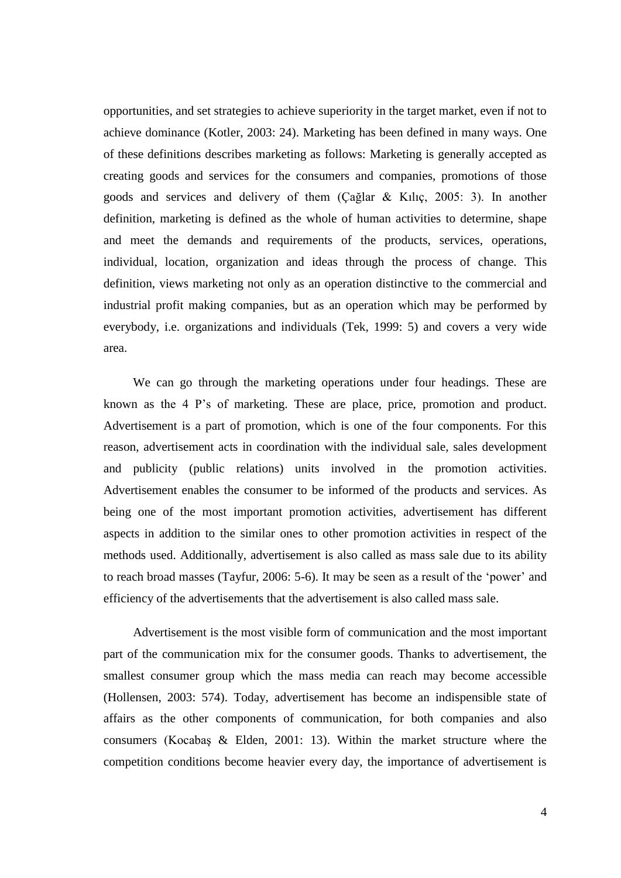opportunities, and set strategies to achieve superiority in the target market, even if not to achieve dominance (Kotler, 2003: 24). Marketing has been defined in many ways. One of these definitions describes marketing as follows: Marketing is generally accepted as creating goods and services for the consumers and companies, promotions of those goods and services and delivery of them (Çağlar & Kılıç, 2005: 3). In another definition, marketing is defined as the whole of human activities to determine, shape and meet the demands and requirements of the products, services, operations, individual, location, organization and ideas through the process of change. This definition, views marketing not only as an operation distinctive to the commercial and industrial profit making companies, but as an operation which may be performed by everybody, i.e. organizations and individuals (Tek, 1999: 5) and covers a very wide area.

We can go through the marketing operations under four headings. These are known as the 4 P's of marketing. These are place, price, promotion and product. Advertisement is a part of promotion, which is one of the four components. For this reason, advertisement acts in coordination with the individual sale, sales development and publicity (public relations) units involved in the promotion activities. Advertisement enables the consumer to be informed of the products and services. As being one of the most important promotion activities, advertisement has different aspects in addition to the similar ones to other promotion activities in respect of the methods used. Additionally, advertisement is also called as mass sale due to its ability to reach broad masses (Tayfur, 2006: 5-6). It may be seen as a result of the 'power' and efficiency of the advertisements that the advertisement is also called mass sale.

Advertisement is the most visible form of communication and the most important part of the communication mix for the consumer goods. Thanks to advertisement, the smallest consumer group which the mass media can reach may become accessible (Hollensen, 2003: 574). Today, advertisement has become an indispensible state of affairs as the other components of communication, for both companies and also consumers (Kocabaş & Elden, 2001: 13). Within the market structure where the competition conditions become heavier every day, the importance of advertisement is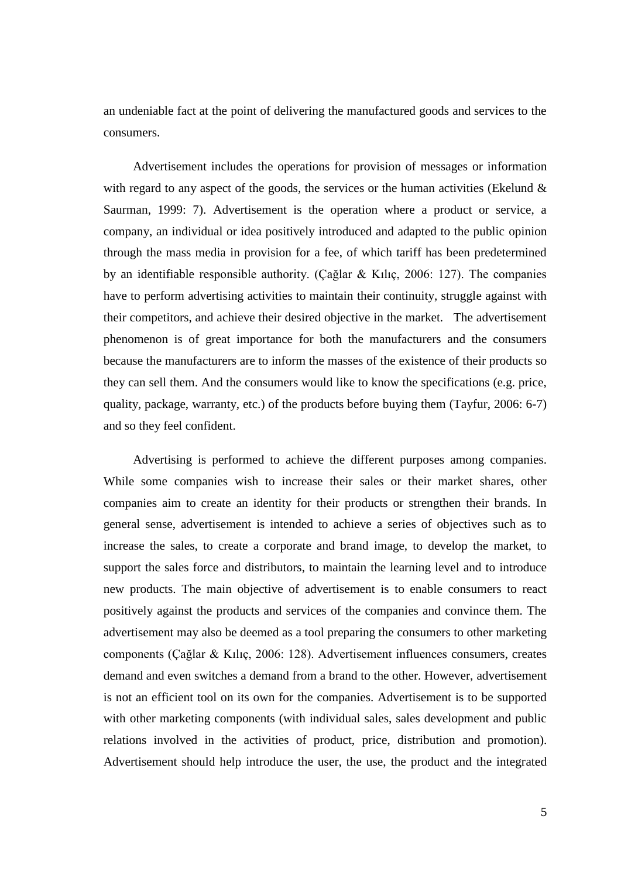an undeniable fact at the point of delivering the manufactured goods and services to the consumers.

Advertisement includes the operations for provision of messages or information with regard to any aspect of the goods, the services or the human activities (Ekelund  $\&$ Saurman, 1999: 7). Advertisement is the operation where a product or service, a company, an individual or idea positively introduced and adapted to the public opinion through the mass media in provision for a fee, of which tariff has been predetermined by an identifiable responsible authority. (Çağlar & Kılıç, 2006: 127). The companies have to perform advertising activities to maintain their continuity, struggle against with their competitors, and achieve their desired objective in the market. The advertisement phenomenon is of great importance for both the manufacturers and the consumers because the manufacturers are to inform the masses of the existence of their products so they can sell them. And the consumers would like to know the specifications (e.g. price, quality, package, warranty, etc.) of the products before buying them (Tayfur, 2006: 6-7) and so they feel confident.

Advertising is performed to achieve the different purposes among companies. While some companies wish to increase their sales or their market shares, other companies aim to create an identity for their products or strengthen their brands. In general sense, advertisement is intended to achieve a series of objectives such as to increase the sales, to create a corporate and brand image, to develop the market, to support the sales force and distributors, to maintain the learning level and to introduce new products. The main objective of advertisement is to enable consumers to react positively against the products and services of the companies and convince them. The advertisement may also be deemed as a tool preparing the consumers to other marketing components (Çağlar & Kılıç, 2006: 128). Advertisement influences consumers, creates demand and even switches a demand from a brand to the other. However, advertisement is not an efficient tool on its own for the companies. Advertisement is to be supported with other marketing components (with individual sales, sales development and public relations involved in the activities of product, price, distribution and promotion). Advertisement should help introduce the user, the use, the product and the integrated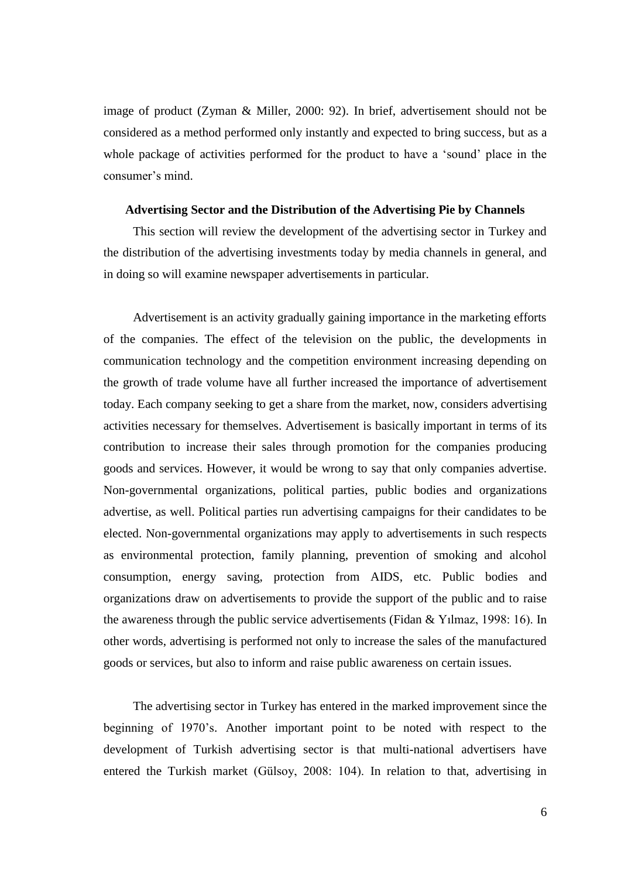image of product (Zyman & Miller, 2000: 92). In brief, advertisement should not be considered as a method performed only instantly and expected to bring success, but as a whole package of activities performed for the product to have a 'sound' place in the consumer's mind.

## **Advertising Sector and the Distribution of the Advertising Pie by Channels**

This section will review the development of the advertising sector in Turkey and the distribution of the advertising investments today by media channels in general, and in doing so will examine newspaper advertisements in particular.

Advertisement is an activity gradually gaining importance in the marketing efforts of the companies. The effect of the television on the public, the developments in communication technology and the competition environment increasing depending on the growth of trade volume have all further increased the importance of advertisement today. Each company seeking to get a share from the market, now, considers advertising activities necessary for themselves. Advertisement is basically important in terms of its contribution to increase their sales through promotion for the companies producing goods and services. However, it would be wrong to say that only companies advertise. Non-governmental organizations, political parties, public bodies and organizations advertise, as well. Political parties run advertising campaigns for their candidates to be elected. Non-governmental organizations may apply to advertisements in such respects as environmental protection, family planning, prevention of smoking and alcohol consumption, energy saving, protection from AIDS, etc. Public bodies and organizations draw on advertisements to provide the support of the public and to raise the awareness through the public service advertisements (Fidan & Yılmaz, 1998: 16). In other words, advertising is performed not only to increase the sales of the manufactured goods or services, but also to inform and raise public awareness on certain issues.

The advertising sector in Turkey has entered in the marked improvement since the beginning of 1970's. Another important point to be noted with respect to the development of Turkish advertising sector is that multi-national advertisers have entered the Turkish market (Gülsoy, 2008: 104). In relation to that, advertising in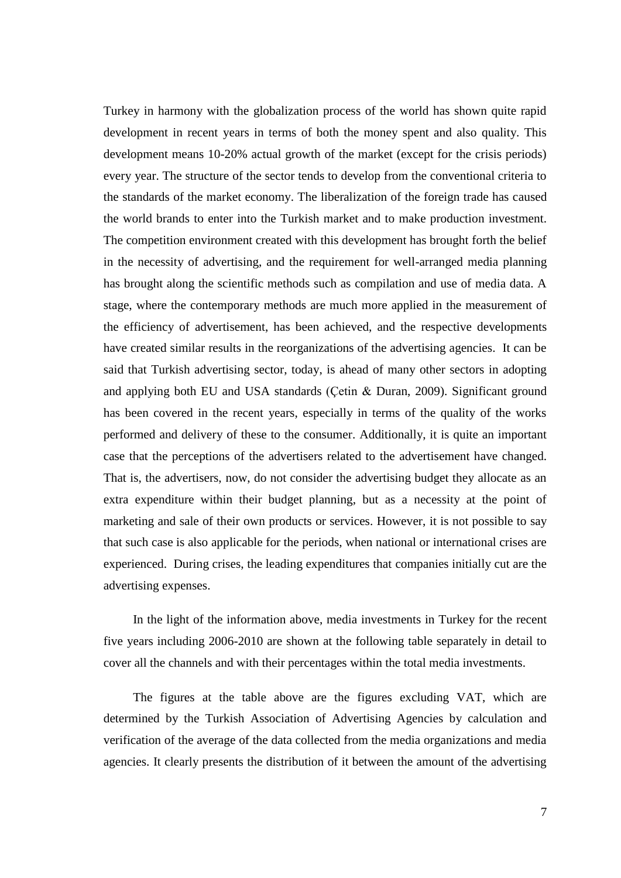Turkey in harmony with the globalization process of the world has shown quite rapid development in recent years in terms of both the money spent and also quality. This development means 10-20% actual growth of the market (except for the crisis periods) every year. The structure of the sector tends to develop from the conventional criteria to the standards of the market economy. The liberalization of the foreign trade has caused the world brands to enter into the Turkish market and to make production investment. The competition environment created with this development has brought forth the belief in the necessity of advertising, and the requirement for well-arranged media planning has brought along the scientific methods such as compilation and use of media data. A stage, where the contemporary methods are much more applied in the measurement of the efficiency of advertisement, has been achieved, and the respective developments have created similar results in the reorganizations of the advertising agencies. It can be said that Turkish advertising sector, today, is ahead of many other sectors in adopting and applying both EU and USA standards (Çetin & Duran, 2009). Significant ground has been covered in the recent years, especially in terms of the quality of the works performed and delivery of these to the consumer. Additionally, it is quite an important case that the perceptions of the advertisers related to the advertisement have changed. That is, the advertisers, now, do not consider the advertising budget they allocate as an extra expenditure within their budget planning, but as a necessity at the point of marketing and sale of their own products or services. However, it is not possible to say that such case is also applicable for the periods, when national or international crises are experienced. During crises, the leading expenditures that companies initially cut are the advertising expenses.

In the light of the information above, media investments in Turkey for the recent five years including 2006-2010 are shown at the following table separately in detail to cover all the channels and with their percentages within the total media investments.

The figures at the table above are the figures excluding VAT, which are determined by the Turkish Association of Advertising Agencies by calculation and verification of the average of the data collected from the media organizations and media agencies. It clearly presents the distribution of it between the amount of the advertising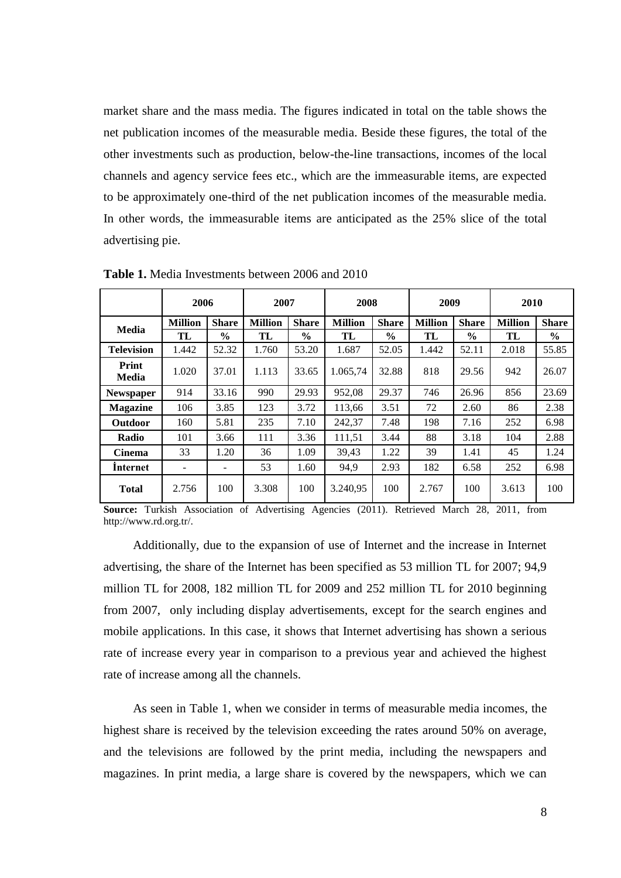market share and the mass media. The figures indicated in total on the table shows the net publication incomes of the measurable media. Beside these figures, the total of the other investments such as production, below-the-line transactions, incomes of the local channels and agency service fees etc., which are the immeasurable items, are expected to be approximately one-third of the net publication incomes of the measurable media. In other words, the immeasurable items are anticipated as the 25% slice of the total advertising pie.

|                   | 2006           |               | 2007           |               | 2008           |               | 2009           |               | 2010           |               |
|-------------------|----------------|---------------|----------------|---------------|----------------|---------------|----------------|---------------|----------------|---------------|
| <b>Media</b>      | <b>Million</b> | <b>Share</b>  | <b>Million</b> | <b>Share</b>  | <b>Million</b> | <b>Share</b>  | <b>Million</b> | <b>Share</b>  | <b>Million</b> | <b>Share</b>  |
|                   | TL             | $\frac{6}{9}$ | TL             | $\frac{6}{6}$ | TL             | $\frac{6}{9}$ | TL             | $\frac{6}{9}$ | TL             | $\frac{6}{6}$ |
| <b>Television</b> | 1.442          | 52.32         | 1.760          | 53.20         | 1.687          | 52.05         | 1.442          | 52.11         | 2.018          | 55.85         |
| Print<br>Media    | 1.020          | 37.01         | 1.113          | 33.65         | 1.065,74       | 32.88         | 818            | 29.56         | 942            | 26.07         |
| <b>Newspaper</b>  | 914            | 33.16         | 990            | 29.93         | 952,08         | 29.37         | 746            | 26.96         | 856            | 23.69         |
| <b>Magazine</b>   | 106            | 3.85          | 123            | 3.72          | 113,66         | 3.51          | 72             | 2.60          | 86             | 2.38          |
| <b>Outdoor</b>    | 160            | 5.81          | 235            | 7.10          | 242,37         | 7.48          | 198            | 7.16          | 252            | 6.98          |
| Radio             | 101            | 3.66          | 111            | 3.36          | 111,51         | 3.44          | 88             | 3.18          | 104            | 2.88          |
| <b>Cinema</b>     | 33             | 1.20          | 36             | 1.09          | 39,43          | 1.22          | 39             | 1.41          | 45             | 1.24          |
| Internet          |                |               | 53             | 1.60          | 94,9           | 2.93          | 182            | 6.58          | 252            | 6.98          |
| <b>Total</b>      | 2.756          | 100           | 3.308          | 100           | 3.240,95       | 100           | 2.767          | 100           | 3.613          | 100           |

**Table 1.** Media Investments between 2006 and 2010

**Source:** Turkish Association of Advertising Agencies (2011). Retrieved March 28, 2011, from http:/[/www.rd.org.tr/](http://www.rd.org.tr/).

Additionally, due to the expansion of use of Internet and the increase in Internet advertising, the share of the Internet has been specified as 53 million TL for 2007; 94,9 million TL for 2008, 182 million TL for 2009 and 252 million TL for 2010 beginning from 2007, only including display advertisements, except for the search engines and mobile applications. In this case, it shows that Internet advertising has shown a serious rate of increase every year in comparison to a previous year and achieved the highest rate of increase among all the channels.

As seen in Table 1, when we consider in terms of measurable media incomes, the highest share is received by the television exceeding the rates around 50% on average, and the televisions are followed by the print media, including the newspapers and magazines. In print media, a large share is covered by the newspapers, which we can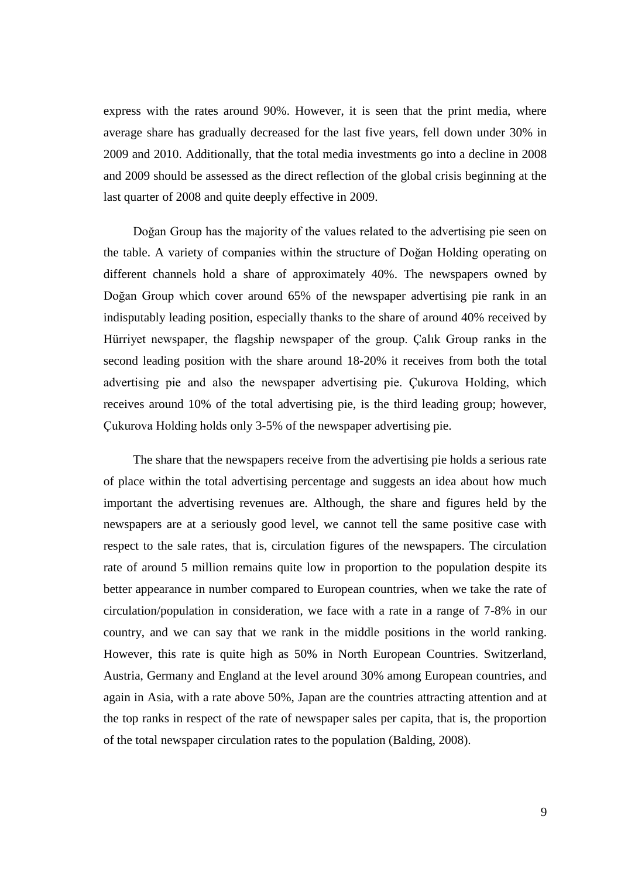express with the rates around 90%. However, it is seen that the print media, where average share has gradually decreased for the last five years, fell down under 30% in 2009 and 2010. Additionally, that the total media investments go into a decline in 2008 and 2009 should be assessed as the direct reflection of the global crisis beginning at the last quarter of 2008 and quite deeply effective in 2009.

Doğan Group has the majority of the values related to the advertising pie seen on the table. A variety of companies within the structure of Doğan Holding operating on different channels hold a share of approximately 40%. The newspapers owned by Doğan Group which cover around 65% of the newspaper advertising pie rank in an indisputably leading position, especially thanks to the share of around 40% received by Hürriyet newspaper, the flagship newspaper of the group. Çalık Group ranks in the second leading position with the share around 18-20% it receives from both the total advertising pie and also the newspaper advertising pie. Çukurova Holding, which receives around 10% of the total advertising pie, is the third leading group; however, Çukurova Holding holds only 3-5% of the newspaper advertising pie.

The share that the newspapers receive from the advertising pie holds a serious rate of place within the total advertising percentage and suggests an idea about how much important the advertising revenues are. Although, the share and figures held by the newspapers are at a seriously good level, we cannot tell the same positive case with respect to the sale rates, that is, circulation figures of the newspapers. The circulation rate of around 5 million remains quite low in proportion to the population despite its better appearance in number compared to European countries, when we take the rate of circulation/population in consideration, we face with a rate in a range of 7-8% in our country, and we can say that we rank in the middle positions in the world ranking. However, this rate is quite high as 50% in North European Countries. Switzerland, Austria, Germany and England at the level around 30% among European countries, and again in Asia, with a rate above 50%, Japan are the countries attracting attention and at the top ranks in respect of the rate of newspaper sales per capita, that is, the proportion of the total newspaper circulation rates to the population (Balding, 2008).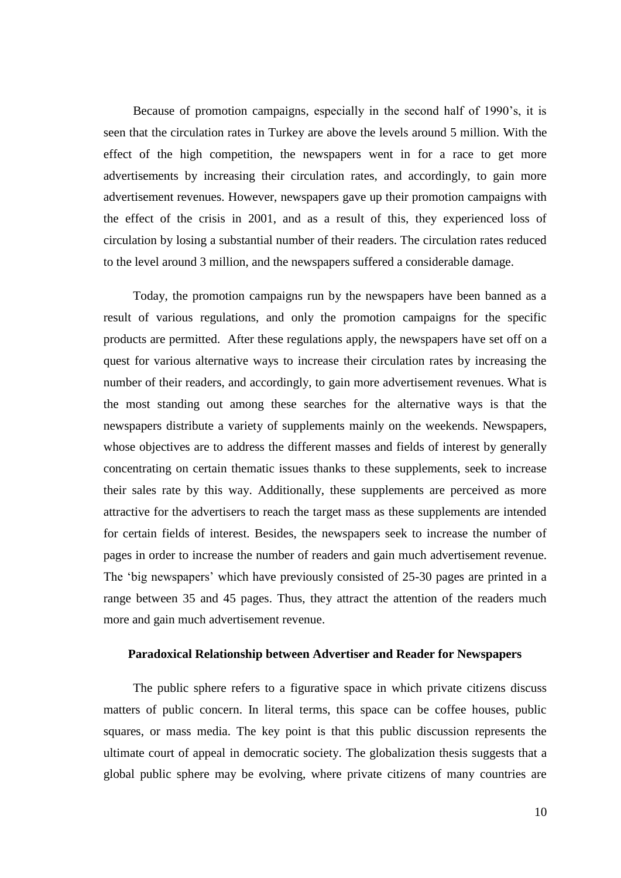Because of promotion campaigns, especially in the second half of 1990's, it is seen that the circulation rates in Turkey are above the levels around 5 million. With the effect of the high competition, the newspapers went in for a race to get more advertisements by increasing their circulation rates, and accordingly, to gain more advertisement revenues. However, newspapers gave up their promotion campaigns with the effect of the crisis in 2001, and as a result of this, they experienced loss of circulation by losing a substantial number of their readers. The circulation rates reduced to the level around 3 million, and the newspapers suffered a considerable damage.

Today, the promotion campaigns run by the newspapers have been banned as a result of various regulations, and only the promotion campaigns for the specific products are permitted. After these regulations apply, the newspapers have set off on a quest for various alternative ways to increase their circulation rates by increasing the number of their readers, and accordingly, to gain more advertisement revenues. What is the most standing out among these searches for the alternative ways is that the newspapers distribute a variety of supplements mainly on the weekends. Newspapers, whose objectives are to address the different masses and fields of interest by generally concentrating on certain thematic issues thanks to these supplements, seek to increase their sales rate by this way. Additionally, these supplements are perceived as more attractive for the advertisers to reach the target mass as these supplements are intended for certain fields of interest. Besides, the newspapers seek to increase the number of pages in order to increase the number of readers and gain much advertisement revenue. The 'big newspapers' which have previously consisted of 25-30 pages are printed in a range between 35 and 45 pages. Thus, they attract the attention of the readers much more and gain much advertisement revenue.

## **Paradoxical Relationship between Advertiser and Reader for Newspapers**

The public sphere refers to a figurative space in which private citizens discuss matters of public concern. In literal terms, this space can be coffee houses, public squares, or mass media. The key point is that this public discussion represents the ultimate court of appeal in democratic society. The globalization thesis suggests that a global public sphere may be evolving, where private citizens of many countries are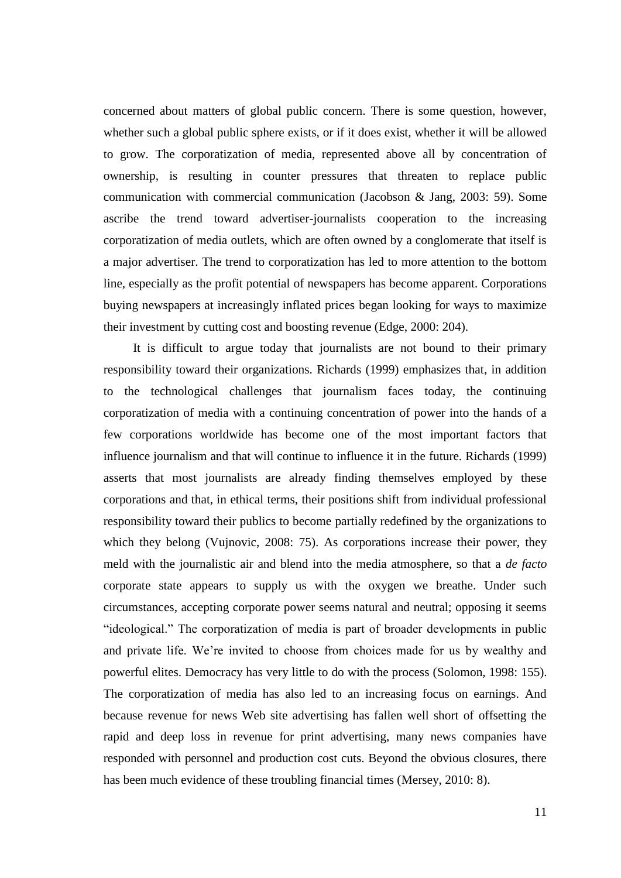concerned about matters of global public concern. There is some question, however, whether such a global public sphere exists, or if it does exist, whether it will be allowed to grow. The corporatization of media, represented above all by concentration of ownership, is resulting in counter pressures that threaten to replace public communication with commercial communication (Jacobson & Jang, 2003: 59). Some ascribe the trend toward advertiser-journalists cooperation to the increasing corporatization of media outlets, which are often owned by a conglomerate that itself is a major advertiser. The trend to corporatization has led to more attention to the bottom line, especially as the profit potential of newspapers has become apparent. Corporations buying newspapers at increasingly inflated prices began looking for ways to maximize their investment by cutting cost and boosting revenue (Edge, 2000: 204).

It is difficult to argue today that journalists are not bound to their primary responsibility toward their organizations. Richards (1999) emphasizes that, in addition to the technological challenges that journalism faces today, the continuing corporatization of media with a continuing concentration of power into the hands of a few corporations worldwide has become one of the most important factors that influence journalism and that will continue to influence it in the future. Richards (1999) asserts that most journalists are already finding themselves employed by these corporations and that, in ethical terms, their positions shift from individual professional responsibility toward their publics to become partially redefined by the organizations to which they belong (Vujnovic, 2008: 75). As corporations increase their power, they meld with the journalistic air and blend into the media atmosphere, so that a *de facto* corporate state appears to supply us with the oxygen we breathe. Under such circumstances, accepting corporate power seems natural and neutral; opposing it seems "ideological." The corporatization of media is part of broader developments in public and private life. We're invited to choose from choices made for us by wealthy and powerful elites. Democracy has very little to do with the process (Solomon, 1998: 155). The corporatization of media has also led to an increasing focus on earnings. And because revenue for news Web site advertising has fallen well short of offsetting the rapid and deep loss in revenue for print advertising, many news companies have responded with personnel and production cost cuts. Beyond the obvious closures, there has been much evidence of these troubling financial times (Mersey, 2010: 8).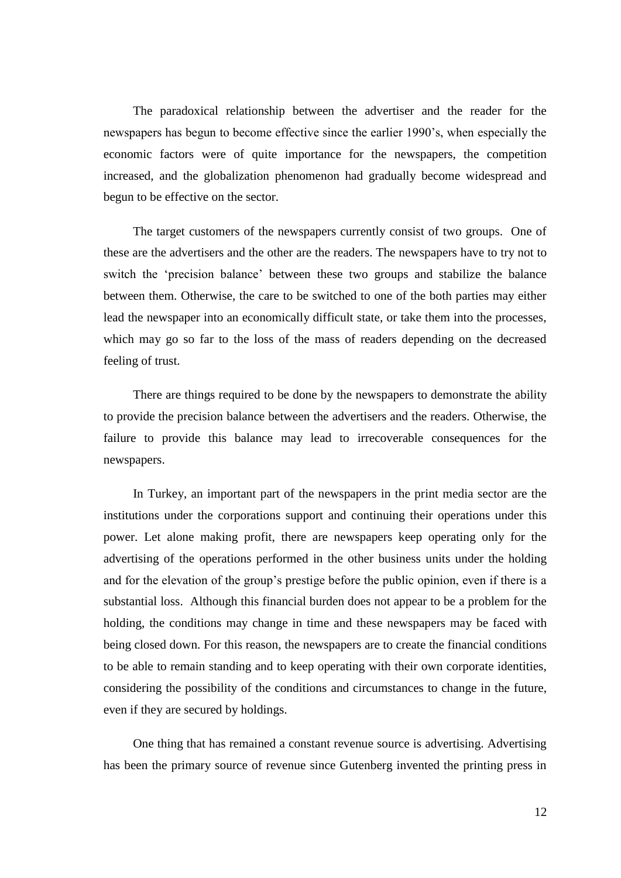The paradoxical relationship between the advertiser and the reader for the newspapers has begun to become effective since the earlier 1990's, when especially the economic factors were of quite importance for the newspapers, the competition increased, and the globalization phenomenon had gradually become widespread and begun to be effective on the sector.

The target customers of the newspapers currently consist of two groups. One of these are the advertisers and the other are the readers. The newspapers have to try not to switch the 'precision balance' between these two groups and stabilize the balance between them. Otherwise, the care to be switched to one of the both parties may either lead the newspaper into an economically difficult state, or take them into the processes, which may go so far to the loss of the mass of readers depending on the decreased feeling of trust.

There are things required to be done by the newspapers to demonstrate the ability to provide the precision balance between the advertisers and the readers. Otherwise, the failure to provide this balance may lead to irrecoverable consequences for the newspapers.

In Turkey, an important part of the newspapers in the print media sector are the institutions under the corporations support and continuing their operations under this power. Let alone making profit, there are newspapers keep operating only for the advertising of the operations performed in the other business units under the holding and for the elevation of the group's prestige before the public opinion, even if there is a substantial loss. Although this financial burden does not appear to be a problem for the holding, the conditions may change in time and these newspapers may be faced with being closed down. For this reason, the newspapers are to create the financial conditions to be able to remain standing and to keep operating with their own corporate identities, considering the possibility of the conditions and circumstances to change in the future, even if they are secured by holdings.

One thing that has remained a constant revenue source is advertising. Advertising has been the primary source of revenue since Gutenberg invented the printing press in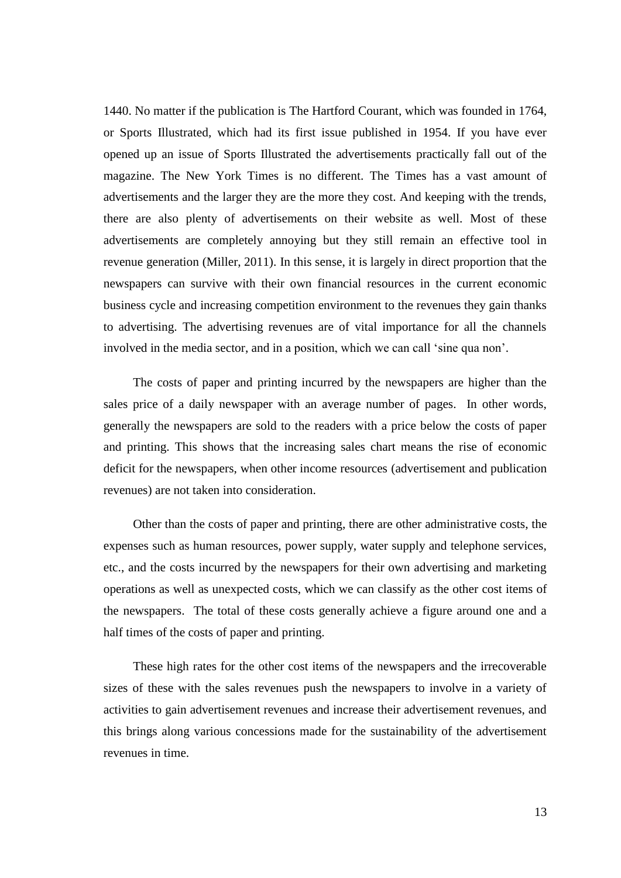1440. No matter if the publication is The Hartford Courant, which was founded in 1764, or Sports Illustrated*,* which had its first issue published in 1954. If you have ever opened up an issue of Sports Illustrated the advertisements practically fall out of the magazine. The New York Times is no different. The Times has a vast amount of advertisements and the larger they are the more they cost. And keeping with the trends, there are also plenty of advertisements on their website as well. Most of these advertisements are completely annoying but they still remain an effective tool in revenue generation (Miller, 2011). In this sense, it is largely in direct proportion that the newspapers can survive with their own financial resources in the current economic business cycle and increasing competition environment to the revenues they gain thanks to advertising. The advertising revenues are of vital importance for all the channels involved in the media sector, and in a position, which we can call 'sine qua non'.

The costs of paper and printing incurred by the newspapers are higher than the sales price of a daily newspaper with an average number of pages. In other words, generally the newspapers are sold to the readers with a price below the costs of paper and printing. This shows that the increasing sales chart means the rise of economic deficit for the newspapers, when other income resources (advertisement and publication revenues) are not taken into consideration.

Other than the costs of paper and printing, there are other administrative costs, the expenses such as human resources, power supply, water supply and telephone services, etc., and the costs incurred by the newspapers for their own advertising and marketing operations as well as unexpected costs, which we can classify as the other cost items of the newspapers. The total of these costs generally achieve a figure around one and a half times of the costs of paper and printing.

These high rates for the other cost items of the newspapers and the irrecoverable sizes of these with the sales revenues push the newspapers to involve in a variety of activities to gain advertisement revenues and increase their advertisement revenues, and this brings along various concessions made for the sustainability of the advertisement revenues in time.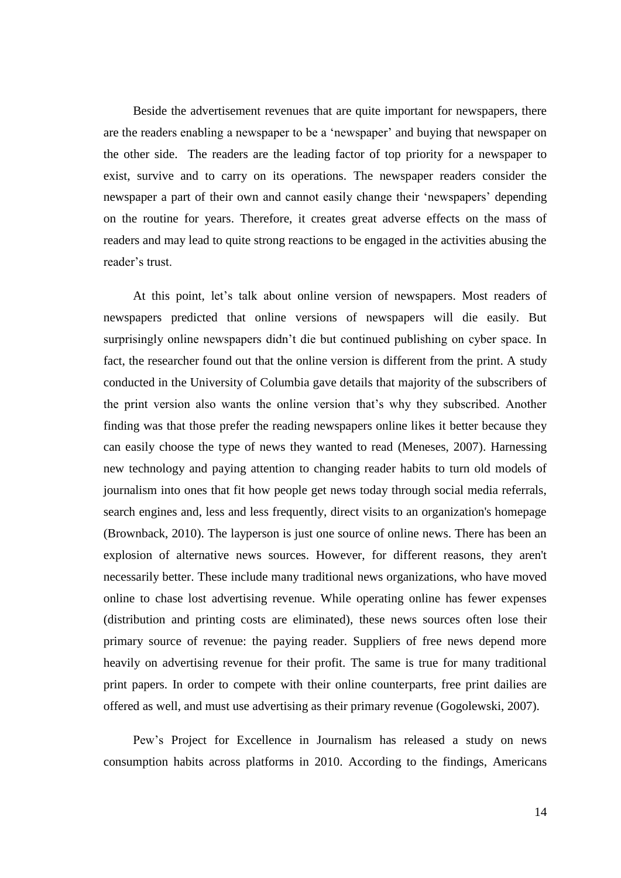Beside the advertisement revenues that are quite important for newspapers, there are the readers enabling a newspaper to be a 'newspaper' and buying that newspaper on the other side. The readers are the leading factor of top priority for a newspaper to exist, survive and to carry on its operations. The newspaper readers consider the newspaper a part of their own and cannot easily change their 'newspapers' depending on the routine for years. Therefore, it creates great adverse effects on the mass of readers and may lead to quite strong reactions to be engaged in the activities abusing the reader's trust.

At this point, let's talk about online version of newspapers. Most readers of newspapers predicted that online versions of newspapers will die easily. But surprisingly online newspapers didn't die but continued publishing on cyber space. In fact, the researcher found out that the online version is different from the print. A study conducted in the University of Columbia gave details that majority of the subscribers of the print version also wants the online version that's why they subscribed. Another finding was that those prefer the reading newspapers online likes it better because they can easily choose the type of news they wanted to read (Meneses, 2007). Harnessing new technology and paying attention to changing reader habits to turn old models of journalism into ones that fit how people get news today through social media referrals, search engines and, less and less frequently, direct visits to an organization's homepage (Brownback, 2010). The layperson is just one source of online news. There has been an explosion of alternative news sources. However, for different reasons, they aren't necessarily better. These include many traditional news organizations, who have moved online to chase lost advertising revenue. While operating online has fewer expenses (distribution and printing costs are eliminated), these news sources often lose their primary source of revenue: the paying reader. Suppliers of free news depend more heavily on advertising revenue for their profit. The same is true for many traditional print papers. In order to compete with their online counterparts, free print dailies are offered as well, and must use advertising as their primary revenue (Gogolewski, 2007).

Pew's [Project for Excellence in Journalism](http://www.journalism.org/) has [released a study](http://pewinternet.org/Reports/2010/Online-News.aspx) on news consumption habits across platforms in 2010. According to the findings, Americans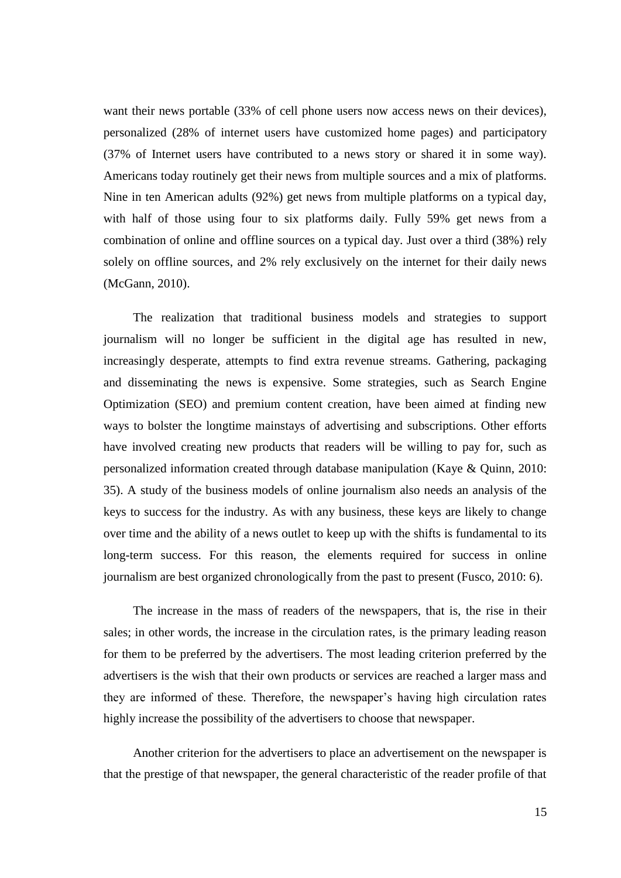want their news portable (33% of cell phone users now access news on their devices), personalized (28% of internet users have customized home pages) and participatory (37% of Internet users have contributed to a news story or shared it in some way). Americans today routinely get their news from multiple sources and a mix of platforms. Nine in ten American adults (92%) get news from multiple platforms on a typical day, with half of those using four to six platforms daily. Fully 59% get news from a combination of online and offline sources on a typical day. Just over a third (38%) rely solely on offline sources, and 2% rely exclusively on the internet for their daily news (McGann, 2010).

The realization that traditional business models and strategies to support journalism will no longer be sufficient in the digital age has resulted in new, increasingly desperate, attempts to find extra revenue streams. Gathering, packaging and disseminating the news is expensive. Some strategies, such as Search Engine Optimization (SEO) and premium content creation, have been aimed at finding new ways to bolster the longtime mainstays of advertising and subscriptions. Other efforts have involved creating new products that readers will be willing to pay for, such as personalized information created through database manipulation (Kaye & Quinn, 2010: 35). A study of the business models of online journalism also needs an analysis of the keys to success for the industry. As with any business, these keys are likely to change over time and the ability of a news outlet to keep up with the shifts is fundamental to its long-term success. For this reason, the elements required for success in online journalism are best organized chronologically from the past to present (Fusco, 2010: 6).

The increase in the mass of readers of the newspapers, that is, the rise in their sales; in other words, the increase in the circulation rates, is the primary leading reason for them to be preferred by the advertisers. The most leading criterion preferred by the advertisers is the wish that their own products or services are reached a larger mass and they are informed of these. Therefore, the newspaper's having high circulation rates highly increase the possibility of the advertisers to choose that newspaper.

Another criterion for the advertisers to place an advertisement on the newspaper is that the prestige of that newspaper, the general characteristic of the reader profile of that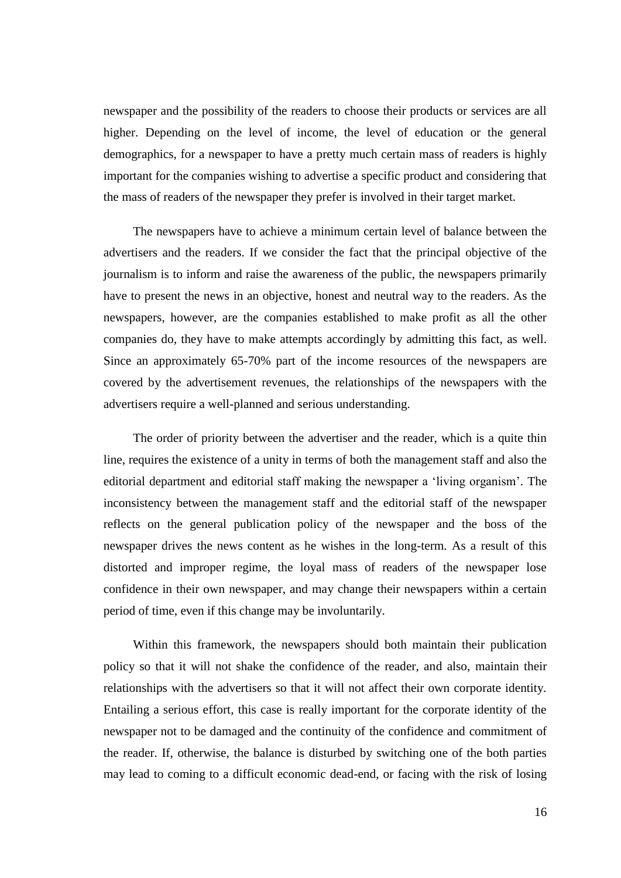newspaper and the possibility of the readers to choose their products or services are all higher. Depending on the level of income, the level of education or the general demographics, for a newspaper to have a pretty much certain mass of readers is highly important for the companies wishing to advertise a specific product and considering that the mass of readers of the newspaper they prefer is involved in their target market.

The newspapers have to achieve a minimum certain level of balance between the advertisers and the readers. If we consider the fact that the principal objective of the journalism is to inform and raise the awareness of the public, the newspapers primarily have to present the news in an objective, honest and neutral way to the readers. As the newspapers, however, are the companies established to make profit as all the other companies do, they have to make attempts accordingly by admitting this fact, as well. Since an approximately 65-70% part of the income resources of the newspapers are covered by the advertisement revenues, the relationships of the newspapers with the advertisers require a well-planned and serious understanding.

The order of priority between the advertiser and the reader, which is a quite thin line, requires the existence of a unity in terms of both the management staff and also the editorial department and editorial staff making the newspaper a 'living organism'. The inconsistency between the management staff and the editorial staff of the newspaper reflects on the general publication policy of the newspaper and the boss of the newspaper drives the news content as he wishes in the long-term. As a result of this distorted and improper regime, the loyal mass of readers of the newspaper lose confidence in their own newspaper, and may change their newspapers within a certain period of time, even if this change may be involuntarily.

Within this framework, the newspapers should both maintain their publication policy so that it will not shake the confidence of the reader, and also, maintain their relationships with the advertisers so that it will not affect their own corporate identity. Entailing a serious effort, this case is really important for the corporate identity of the newspaper not to be damaged and the continuity of the confidence and commitment of the reader. If, otherwise, the balance is disturbed by switching one of the both parties may lead to coming to a difficult economic dead-end, or facing with the risk of losing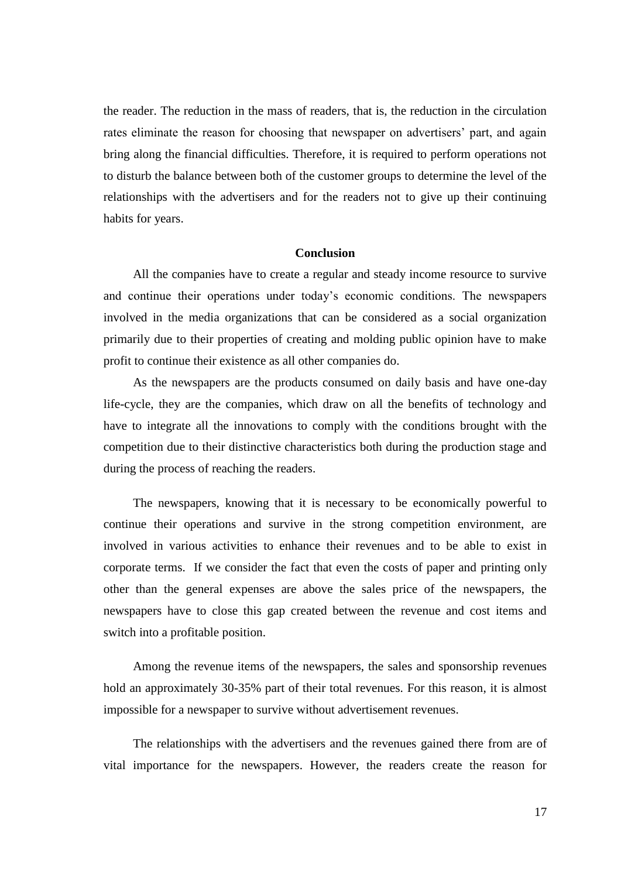the reader. The reduction in the mass of readers, that is, the reduction in the circulation rates eliminate the reason for choosing that newspaper on advertisers' part, and again bring along the financial difficulties. Therefore, it is required to perform operations not to disturb the balance between both of the customer groups to determine the level of the relationships with the advertisers and for the readers not to give up their continuing habits for years.

#### **Conclusion**

All the companies have to create a regular and steady income resource to survive and continue their operations under today's economic conditions. The newspapers involved in the media organizations that can be considered as a social organization primarily due to their properties of creating and molding public opinion have to make profit to continue their existence as all other companies do.

As the newspapers are the products consumed on daily basis and have one-day life-cycle, they are the companies, which draw on all the benefits of technology and have to integrate all the innovations to comply with the conditions brought with the competition due to their distinctive characteristics both during the production stage and during the process of reaching the readers.

The newspapers, knowing that it is necessary to be economically powerful to continue their operations and survive in the strong competition environment, are involved in various activities to enhance their revenues and to be able to exist in corporate terms. If we consider the fact that even the costs of paper and printing only other than the general expenses are above the sales price of the newspapers, the newspapers have to close this gap created between the revenue and cost items and switch into a profitable position.

Among the revenue items of the newspapers, the sales and sponsorship revenues hold an approximately 30-35% part of their total revenues. For this reason, it is almost impossible for a newspaper to survive without advertisement revenues.

The relationships with the advertisers and the revenues gained there from are of vital importance for the newspapers. However, the readers create the reason for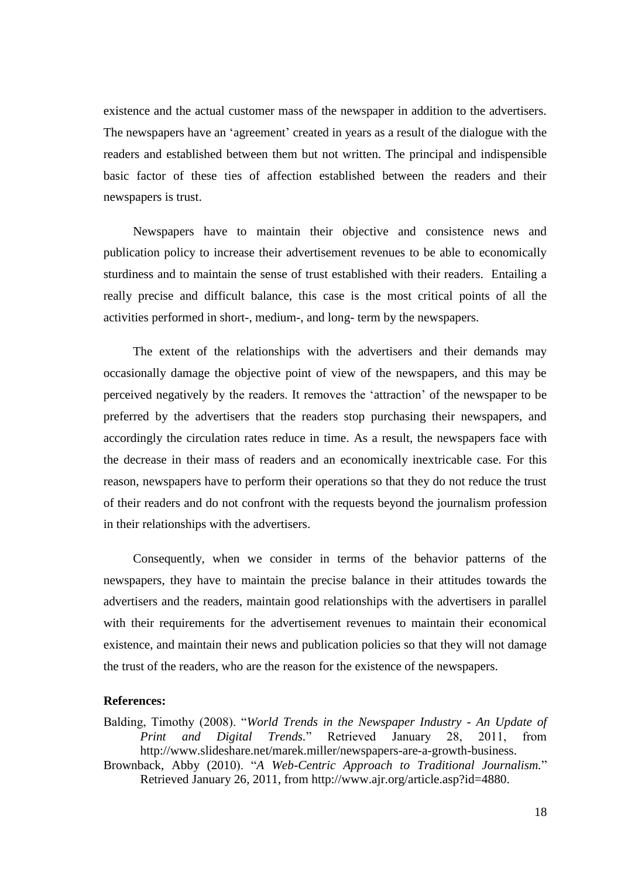existence and the actual customer mass of the newspaper in addition to the advertisers. The newspapers have an 'agreement' created in years as a result of the dialogue with the readers and established between them but not written. The principal and indispensible basic factor of these ties of affection established between the readers and their newspapers is trust.

Newspapers have to maintain their objective and consistence news and publication policy to increase their advertisement revenues to be able to economically sturdiness and to maintain the sense of trust established with their readers. Entailing a really precise and difficult balance, this case is the most critical points of all the activities performed in short-, medium-, and long- term by the newspapers.

The extent of the relationships with the advertisers and their demands may occasionally damage the objective point of view of the newspapers, and this may be perceived negatively by the readers. It removes the 'attraction' of the newspaper to be preferred by the advertisers that the readers stop purchasing their newspapers, and accordingly the circulation rates reduce in time. As a result, the newspapers face with the decrease in their mass of readers and an economically inextricable case. For this reason, newspapers have to perform their operations so that they do not reduce the trust of their readers and do not confront with the requests beyond the journalism profession in their relationships with the advertisers.

Consequently, when we consider in terms of the behavior patterns of the newspapers, they have to maintain the precise balance in their attitudes towards the advertisers and the readers, maintain good relationships with the advertisers in parallel with their requirements for the advertisement revenues to maintain their economical existence, and maintain their news and publication policies so that they will not damage the trust of the readers, who are the reason for the existence of the newspapers.

# **References:**

Balding, Timothy (2008). "*World Trends in the Newspaper Industry - An Update of Print and Digital Trends.*" Retrieved January 28, 2011, from [http://www.slideshare.net/marek.miller/newspapers-are-a-growth-business.](http://www.slideshare.net/marek.miller/newspapers-are-a-growth-business) Brownback, Abby (2010). "*A Web-Centric Approach to Traditional Journalism.*"

Retrieved January 26, 2011, from http://www.ajr.org/article.asp?id=4880.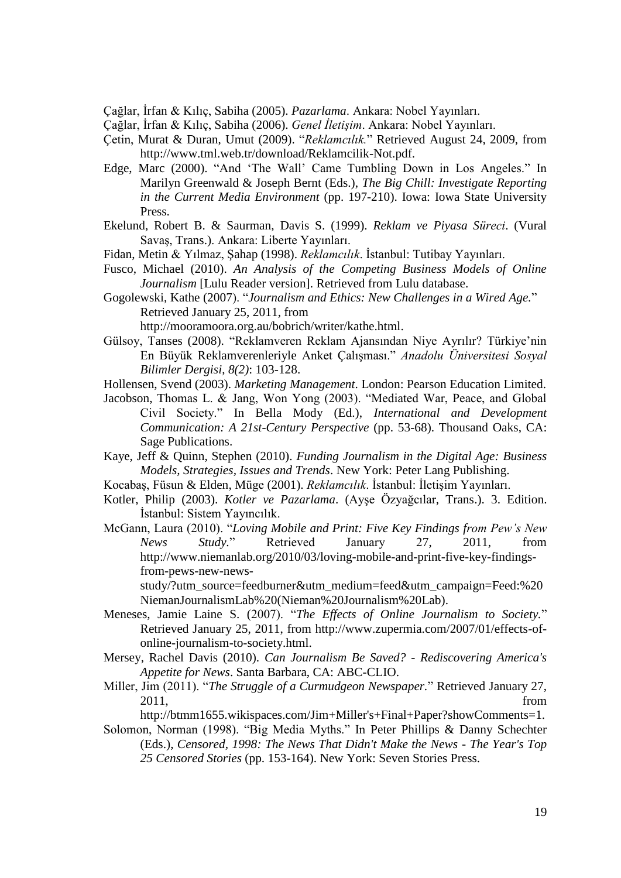Çağlar, İrfan & Kılıç, Sabiha (2005). *Pazarlama*. Ankara: Nobel Yayınları.

Çağlar, İrfan & Kılıç, Sabiha (2006). *Genel İletişim*. Ankara: Nobel Yayınları.

- Çetin, Murat & Duran, Umut (2009). "*Reklamcılık.*" Retrieved August 24, 2009, from <http://www.tml.web.tr/download/Reklamcilik-Not.pdf.>
- Edge, Marc (2000). "And 'The Wall' Came Tumbling Down in Los Angeles." In Marilyn Greenwald & Joseph Bernt (Eds.), *The Big Chill: Investigate Reporting in the Current Media Environment* (pp. 197-210). Iowa: Iowa State University Press.
- Ekelund, Robert B. & Saurman, Davis S. (1999). *Reklam ve Piyasa Süreci*. (Vural Savaş, Trans.). Ankara: Liberte Yayınları.
- Fidan, Metin & Yılmaz, Şahap (1998). *Reklamcılık*. İstanbul: Tutibay Yayınları.
- Fusco, Michael (2010). *An Analysis of the Competing Business Models of Online Journalism* [Lulu Reader version]. Retrieved from Lulu database.
- Gogolewski, Kathe (2007). "*Journalism and Ethics: New Challenges in a Wired Age.*" Retrieved January 25, 2011, from
	- [http://mooramoora.org.au/bobrich/writer/kathe.html.](http://mooramoora.org.au/bobrich/writer/kathe.html)
- Gülsoy, Tanses (2008). "Reklamveren Reklam Ajansından Niye Ayrılır? Türkiye'nin En Büyük Reklamverenleriyle Anket Çalışması." *Anadolu Üniversitesi Sosyal Bilimler Dergisi*, *8(2)*: 103-128.
- Hollensen, Svend (2003). *Marketing Management*. London: Pearson Education Limited.
- Jacobson, Thomas L. & Jang, Won Yong (2003). "Mediated War, Peace, and Global Civil Society." In Bella Mody (Ed.), *International and Development Communication: A 21st-Century Perspective* (pp. 53-68). Thousand Oaks, CA: Sage Publications.
- Kaye, Jeff & Quinn, Stephen (2010). *Funding Journalism in the Digital Age: Business Models, Strategies, Issues and Trends*. New York: Peter Lang Publishing.
- Kocabaş, Füsun & Elden, Müge (2001). *Reklamcılık*. İstanbul: İletişim Yayınları.
- Kotler, Philip (2003). *Kotler ve Pazarlama*. (Ayşe Özyağcılar, Trans.). 3. Edition. İstanbul: Sistem Yayıncılık.
- McGann, Laura (2010). "*Loving Mobile and [Print: Five Key Findings from Pew's New](http://www.niemanlab.org/2010/03/loving-mobile-and-print-five-key-findings-from-pews-new-news-study/)  [News Study.](http://www.niemanlab.org/2010/03/loving-mobile-and-print-five-key-findings-from-pews-new-news-study/)*" Retrieved January 27, 2011, from [http://www.niemanlab.org/2010/03/loving-mobile-and-print-five-key-findings](http://www.niemanlab.org/2010/03/loving-mobile-and-print-five-key-findings-from-pews-new-news-study/?utm_source=feedburner&utm_medium=feed&utm_campaign=Feed:%20NiemanJournalismLab%20(Nieman%20Journalism%20Lab))[from-pews-new-news-](http://www.niemanlab.org/2010/03/loving-mobile-and-print-five-key-findings-from-pews-new-news-study/?utm_source=feedburner&utm_medium=feed&utm_campaign=Feed:%20NiemanJournalismLab%20(Nieman%20Journalism%20Lab))

[study/?utm\\_source=feedburner&utm\\_medium=feed&utm\\_campaign=Feed:%20](http://www.niemanlab.org/2010/03/loving-mobile-and-print-five-key-findings-from-pews-new-news-study/?utm_source=feedburner&utm_medium=feed&utm_campaign=Feed:%20NiemanJournalismLab%20(Nieman%20Journalism%20Lab)) [NiemanJournalismLab%20\(Nieman%20Journalism%20Lab\).](http://www.niemanlab.org/2010/03/loving-mobile-and-print-five-key-findings-from-pews-new-news-study/?utm_source=feedburner&utm_medium=feed&utm_campaign=Feed:%20NiemanJournalismLab%20(Nieman%20Journalism%20Lab))

- Meneses, Jamie Laine S. (2007). "*The Effects of Online Journalism to Society.*" Retrieved January 25, 2011, from http://www.zupermia.com/2007/01/effects-ofonline-journalism-to-society.html.
- Mersey, Rachel Davis (2010). *Can Journalism Be Saved? - Rediscovering America's Appetite for News*. Santa Barbara, CA: ABC-CLIO.
- Miller, Jim (2011). "*The Struggle of a Curmudgeon Newspaper.*" Retrieved January 27, 2011, from

[http://btmm1655.wikispaces.com/Jim+Miller's+Final+Paper?showComments=1.](http://btmm1655.wikispaces.com/Jim+Miller)

Solomon, Norman (1998). "Big Media Myths." In [Peter Phillips](http://www.google.com.tr/search?hl=tr&tbo=p&tbm=bks&q=inauthor:%22Peter+Phillips%22) & [Danny Schechter](http://www.google.com.tr/search?hl=tr&tbo=p&tbm=bks&q=inauthor:%22Danny+Schechter%22) (Eds.), *Censored, 1998: The News That Didn't Make the News - The Year's Top 25 Censored Stories* (pp. 153-164). New York: Seven Stories Press.